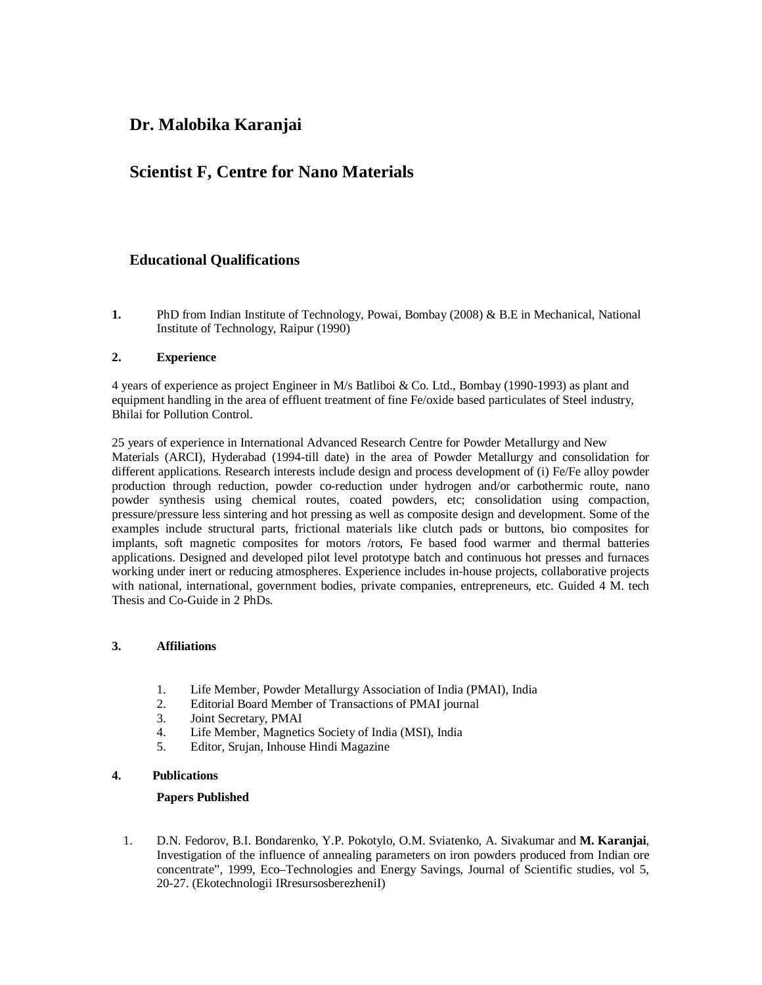# **Dr. Malobika Karanjai**

# **Scientist F, Centre for Nano Materials**

### **Educational Qualifications**

**1.** PhD from Indian Institute of Technology, Powai, Bombay (2008) & B.E in Mechanical, National Institute of Technology, Raipur (1990)

#### **2. Experience**

4 years of experience as project Engineer in M/s Batliboi & Co. Ltd., Bombay (1990-1993) as plant and equipment handling in the area of effluent treatment of fine Fe/oxide based particulates of Steel industry, Bhilai for Pollution Control.

25 years of experience in International Advanced Research Centre for Powder Metallurgy and New Materials (ARCI), Hyderabad (1994-till date) in the area of Powder Metallurgy and consolidation for different applications. Research interests include design and process development of (i) Fe/Fe alloy powder production through reduction, powder co-reduction under hydrogen and/or carbothermic route, nano powder synthesis using chemical routes, coated powders, etc; consolidation using compaction, pressure/pressure less sintering and hot pressing as well as composite design and development. Some of the examples include structural parts, frictional materials like clutch pads or buttons, bio composites for implants, soft magnetic composites for motors /rotors, Fe based food warmer and thermal batteries applications. Designed and developed pilot level prototype batch and continuous hot presses and furnaces working under inert or reducing atmospheres. Experience includes in-house projects, collaborative projects with national, international, government bodies, private companies, entrepreneurs, etc. Guided 4 M. tech Thesis and Co-Guide in 2 PhDs.

#### **3. Affiliations**

- 1. Life Member, Powder Metallurgy Association of India (PMAI), India
- 2. Editorial Board Member of Transactions of PMAI journal<br>3. Joint Secretary. PMAI
- 3. Joint Secretary, PMAI
- 4. Life Member, Magnetics Society of India (MSI), India
- 5. Editor, Srujan, Inhouse Hindi Magazine

#### **4. Publications**

#### **Papers Published**

1. D.N. Fedorov, B.I. Bondarenko, Y.P. Pokotylo, O.M. Sviatenko, A. Sivakumar and **M. Karanjai**, Investigation of the influence of annealing parameters on iron powders produced from Indian ore concentrate", 1999, Eco–Technologies and Energy Savings, Journal of Scientific studies, vol 5, 20-27. (Ekotechnologii IRresursosberezheniI)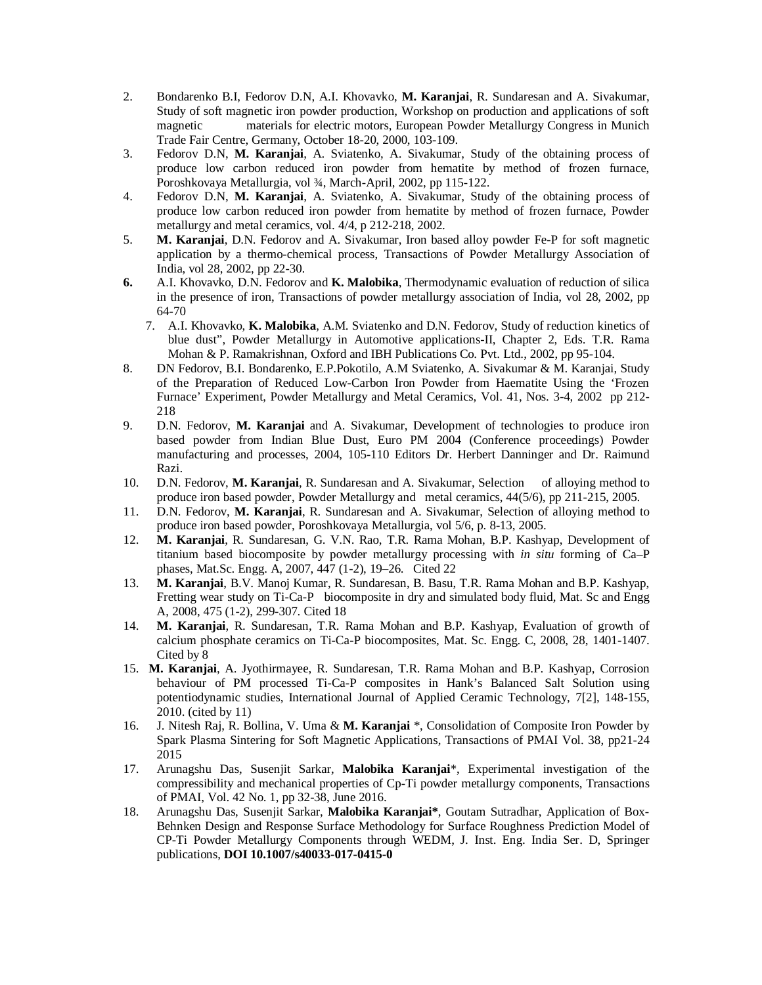- 2. Bondarenko B.I, Fedorov D.N, A.I. Khovavko, **M. Karanjai**, R. Sundaresan and A. Sivakumar, Study of soft magnetic iron powder production, Workshop on production and applications of soft magnetic materials for electric motors, European Powder Metallurgy Congress in Munich Trade Fair Centre, Germany, October 18-20, 2000, 103-109.
- 3. Fedorov D.N, **M. Karanjai**, A. Sviatenko, A. Sivakumar, Study of the obtaining process of produce low carbon reduced iron powder from hematite by method of frozen furnace, Poroshkovaya Metallurgia, vol ¾, March-April, 2002, pp 115-122.
- 4. Fedorov D.N, **M. Karanjai**, A. Sviatenko, A. Sivakumar, Study of the obtaining process of produce low carbon reduced iron powder from hematite by method of frozen furnace, Powder metallurgy and metal ceramics, vol. 4/4, p 212-218, 2002.
- 5. **M. Karanjai**, D.N. Fedorov and A. Sivakumar, Iron based alloy powder Fe-P for soft magnetic application by a thermo-chemical process, Transactions of Powder Metallurgy Association of India, vol 28, 2002, pp 22-30.
- **6.** A.I. Khovavko, D.N. Fedorov and **K. Malobika**, Thermodynamic evaluation of reduction of silica in the presence of iron, Transactions of powder metallurgy association of India, vol 28, 2002, pp 64-70
	- 7. A.I. Khovavko, **K. Malobika**, A.M. Sviatenko and D.N. Fedorov, Study of reduction kinetics of blue dust", Powder Metallurgy in Automotive applications-II, Chapter 2, Eds. T.R. Rama Mohan & P. Ramakrishnan, Oxford and IBH Publications Co. Pvt. Ltd., 2002, pp 95-104.
- 8. DN Fedorov, B.I. Bondarenko, E.P.Pokotilo, A.M Sviatenko, A. Sivakumar & M. Karanjai, Study of the Preparation of Reduced Low-Carbon Iron Powder from Haematite Using the 'Frozen Furnace' Experiment, Powder Metallurgy and Metal Ceramics, Vol. 41, Nos. 3-4, 2002 pp 212- 218
- 9. D.N. Fedorov, **M. Karanjai** and A. Sivakumar, Development of technologies to produce iron based powder from Indian Blue Dust, Euro PM 2004 (Conference proceedings) Powder manufacturing and processes, 2004, 105-110 Editors Dr. Herbert Danninger and Dr. Raimund Razi.
- 10. D.N. Fedorov, **M. Karanjai**, R. Sundaresan and A. Sivakumar, Selection of alloying method to produce iron based powder, Powder Metallurgy and metal ceramics, 44(5/6), pp 211-215, 2005.
- 11. D.N. Fedorov, **M. Karanjai**, R. Sundaresan and A. Sivakumar, Selection of alloying method to produce iron based powder, Poroshkovaya Metallurgia, vol 5/6, p. 8-13, 2005.
- 12. **M. Karanjai**, R. Sundaresan, G. V.N. Rao, T.R. Rama Mohan, B.P. Kashyap, Development of titanium based biocomposite by powder metallurgy processing with *in situ* forming of Ca–P phases, Mat.Sc. Engg. A, 2007, 447 (1-2), 19–26. Cited 22
- 13. **M. Karanjai**, B.V. Manoj Kumar, R. Sundaresan, B. Basu, T.R. Rama Mohan and B.P. Kashyap, Fretting wear study on Ti-Ca-P biocomposite in dry and simulated body fluid, Mat. Sc and Engg A, 2008, 475 (1-2), 299-307. Cited 18
- 14. **M. Karanjai**, R. Sundaresan, T.R. Rama Mohan and B.P. Kashyap, Evaluation of growth of calcium phosphate ceramics on Ti-Ca-P biocomposites, Mat. Sc. Engg. C, 2008, 28, 1401-1407. Cited by 8
- 15. **M. Karanjai**, A. Jyothirmayee, R. Sundaresan, T.R. Rama Mohan and B.P. Kashyap, Corrosion behaviour of PM processed Ti-Ca-P composites in Hank's Balanced Salt Solution using potentiodynamic studies, International Journal of Applied Ceramic Technology, 7[2], 148-155, 2010. (cited by 11)
- 16. J. Nitesh Raj, R. Bollina, V. Uma & **M. Karanjai** \*, Consolidation of Composite Iron Powder by Spark Plasma Sintering for Soft Magnetic Applications, Transactions of PMAI Vol. 38, pp21-24 2015
- 17. Arunagshu Das, Susenjit Sarkar, **Malobika Karanjai**\*, Experimental investigation of the compressibility and mechanical properties of Cp-Ti powder metallurgy components, Transactions of PMAI, Vol. 42 No. 1, pp 32-38, June 2016.
- 18. Arunagshu Das, Susenjit Sarkar, **Malobika Karanjai\***, Goutam Sutradhar, Application of Box-Behnken Design and Response Surface Methodology for Surface Roughness Prediction Model of CP-Ti Powder Metallurgy Components through WEDM, J. Inst. Eng. India Ser. D, Springer publications, **DOI 10.1007/s40033-017-0415-0**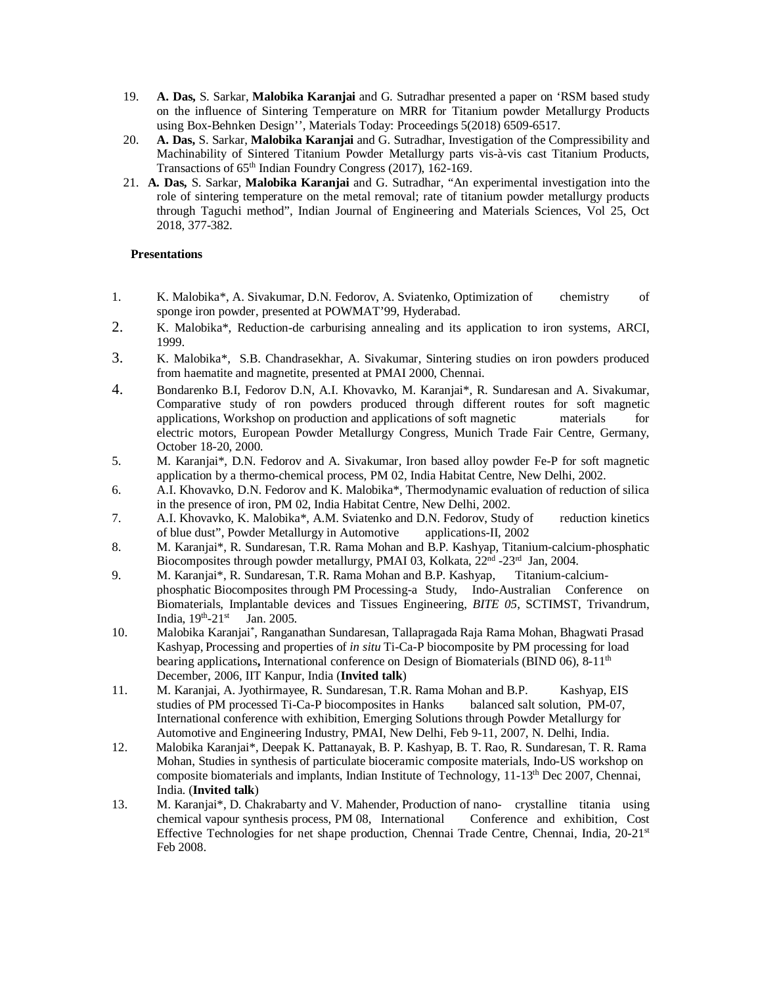- 19. **A. Das,** S. Sarkar, **Malobika Karanjai** and G. Sutradhar presented a paper on 'RSM based study on the influence of Sintering Temperature on MRR for Titanium powder Metallurgy Products using Box-Behnken Design'', Materials Today: Proceedings 5(2018) 6509-6517.
- 20. **A. Das,** S. Sarkar, **Malobika Karanjai** and G. Sutradhar, Investigation of the Compressibility and Machinability of Sintered Titanium Powder Metallurgy parts vis-à-vis cast Titanium Products, Transactions of 65th Indian Foundry Congress (2017), 162-169.
- 21. **A. Das,** S. Sarkar, **Malobika Karanjai** and G. Sutradhar, "An experimental investigation into the role of sintering temperature on the metal removal; rate of titanium powder metallurgy products through Taguchi method", Indian Journal of Engineering and Materials Sciences, Vol 25, Oct 2018, 377-382.

#### **Presentations**

- 1. K. Malobika\*, A. Sivakumar, D.N. Fedorov, A. Sviatenko, Optimization of chemistry of sponge iron powder, presented at POWMAT'99, Hyderabad.
- 2. K. Malobika\*, Reduction-de carburising annealing and its application to iron systems, ARCI, 1999.
- 3. K. Malobika\*, S.B. Chandrasekhar, A. Sivakumar, Sintering studies on iron powders produced from haematite and magnetite, presented at PMAI 2000, Chennai.
- 4. Bondarenko B.I, Fedorov D.N, A.I. Khovavko, M. Karanjai\*, R. Sundaresan and A. Sivakumar, Comparative study of ron powders produced through different routes for soft magnetic applications, Workshop on production and applications of soft magnetic materials for electric motors, European Powder Metallurgy Congress, Munich Trade Fair Centre, Germany, October 18-20, 2000.
- 5. M. Karanjai\*, D.N. Fedorov and A. Sivakumar, Iron based alloy powder Fe-P for soft magnetic application by a thermo-chemical process, PM 02, India Habitat Centre, New Delhi, 2002.
- 6. A.I. Khovavko, D.N. Fedorov and K. Malobika\*, Thermodynamic evaluation of reduction of silica in the presence of iron, PM 02, India Habitat Centre, New Delhi, 2002.
- 7. A.I. Khovavko, K. Malobika\*, A.M. Sviatenko and D.N. Fedorov, Study of reduction kinetics of blue dust", Powder Metallurgy in Automotive applications-II, 2002 of blue dust", Powder Metallurgy in Automotive
- 8. M. Karanjai\*, R. Sundaresan, T.R. Rama Mohan and B.P. Kashyap, Titanium-calcium-phosphatic Biocomposites through powder metallurgy, PMAI 03, Kolkata, 22<sup>nd</sup> -23<sup>rd</sup> Jan, 2004.
- 9. M. Karanjai\*, R. Sundaresan, T.R. Rama Mohan and B.P. Kashyap, Titanium-calciumphosphatic Biocomposites through PM Processing-a Study, Indo-Australian Conference on Biomaterials, Implantable devices and Tissues Engineering, *BITE 05*, SCTIMST, Trivandrum, India,  $19<sup>th</sup> - 21<sup>st</sup>$ Jan. 2005.
- 10. Malobika Karanjai\* , Ranganathan Sundaresan, Tallapragada Raja Rama Mohan, Bhagwati Prasad Kashyap, Processing and properties of *in situ* Ti-Ca-P biocomposite by PM processing for load bearing applications, International conference on Design of Biomaterials (BIND 06), 8-11<sup>th</sup> December, 2006, IIT Kanpur, India (**Invited talk**)
- 11. M. Karanjai, A. Jyothirmayee, R. Sundaresan, T.R. Rama Mohan and B.P. Kashyap, EIS studies of PM processed Ti-Ca-P biocomposites in Hanks balanced salt solution, PM-07, International conference with exhibition, Emerging Solutions through Powder Metallurgy for Automotive and Engineering Industry, PMAI, New Delhi, Feb 9-11, 2007, N. Delhi, India.
- 12. Malobika Karanjai\*, Deepak K. Pattanayak, B. P. Kashyap, B. T. Rao, R. Sundaresan, T. R. Rama Mohan, Studies in synthesis of particulate bioceramic composite materials, Indo-US workshop on composite biomaterials and implants, Indian Institute of Technology, 11-13th Dec 2007, Chennai, India. (**Invited talk**)
- 13. M. Karanjai\*, D. Chakrabarty and V. Mahender, Production of nano- crystalline titania using chemical vapour synthesis process, PM 08, International Conference and exhibition, Cost Effective Technologies for net shape production, Chennai Trade Centre, Chennai, India, 20-21<sup>st</sup> Feb 2008.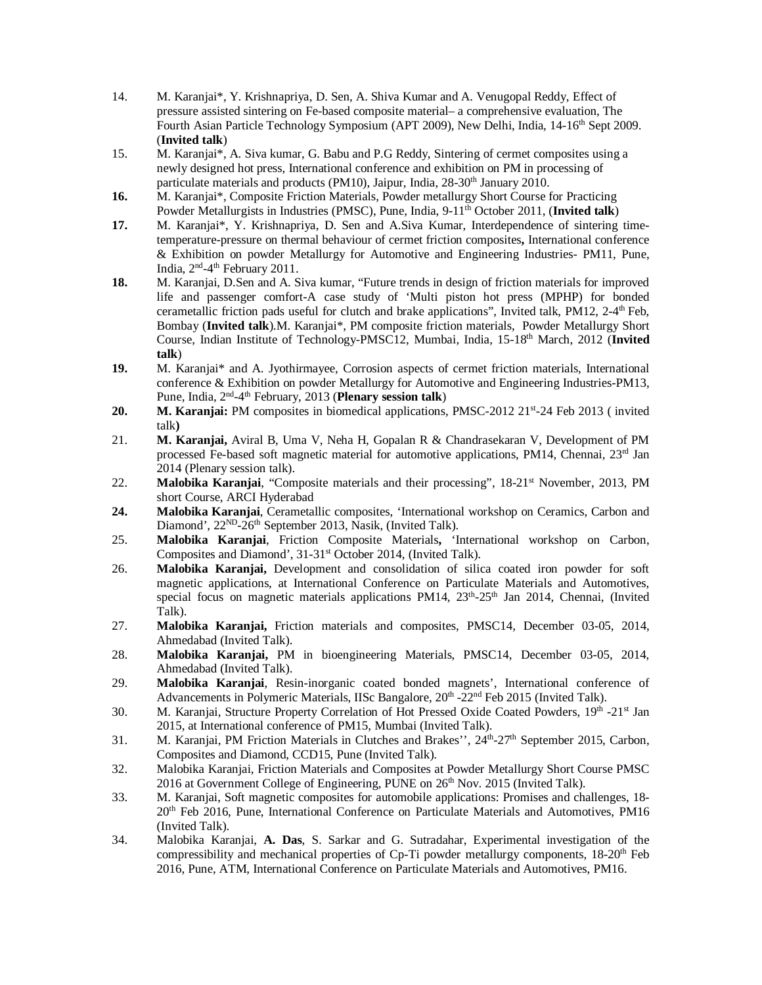- 14. M. Karanjai\*, Y. Krishnapriya, D. Sen, A. Shiva Kumar and A. Venugopal Reddy, Effect of pressure assisted sintering on Fe-based composite material– a comprehensive evaluation, The Fourth Asian Particle Technology Symposium (APT 2009), New Delhi, India, 14-16<sup>th</sup> Sept 2009. (**Invited talk**)
- 15. M. Karanjai\*, A. Siva kumar, G. Babu and P.G Reddy, Sintering of cermet composites using a newly designed hot press, International conference and exhibition on PM in processing of particulate materials and products (PM10), Jaipur, India, 28-30<sup>th</sup> January 2010.
- **16.** M. Karanjai\*, Composite Friction Materials, Powder metallurgy Short Course for Practicing Powder Metallurgists in Industries (PMSC), Pune, India, 9-11<sup>th</sup> October 2011, (Invited talk)
- **17.** M. Karanjai\*, Y. Krishnapriya, D. Sen and A.Siva Kumar, Interdependence of sintering timetemperature-pressure on thermal behaviour of cermet friction composites**,** International conference & Exhibition on powder Metallurgy for Automotive and Engineering Industries- PM11, Pune, India, 2<sup>nd</sup>-4<sup>th</sup> February 2011.
- **18.** M. Karanjai, D.Sen and A. Siva kumar, "Future trends in design of friction materials for improved life and passenger comfort-A case study of 'Multi piston hot press (MPHP) for bonded cerametallic friction pads useful for clutch and brake applications", Invited talk, PM12, 2-4<sup>th</sup> Feb, Bombay (**Invited talk**).M. Karanjai\*, PM composite friction materials, Powder Metallurgy Short Course, Indian Institute of Technology-PMSC12, Mumbai, India, 15-18th March, 2012 (**Invited talk**)
- **19.** M. Karanjai\* and A. Jyothirmayee, Corrosion aspects of cermet friction materials, International conference & Exhibition on powder Metallurgy for Automotive and Engineering Industries-PM13, Pune, India, 2nd -4 th February, 2013 (**Plenary session talk**)
- 20. M. Karanjai: PM composites in biomedical applications, PMSC-2012 21<sup>st</sup>-24 Feb 2013 (invited talk**)**
- 21. **M. Karanjai,** Aviral B, Uma V, Neha H, Gopalan R & Chandrasekaran V, Development of PM processed Fe-based soft magnetic material for automotive applications, PM14, Chennai,  $23<sup>rd</sup>$  Jan 2014 (Plenary session talk).
- 22. **Malobika Karanjai**, "Composite materials and their processing", 18-21<sup>st</sup> November, 2013, PM short Course, ARCI Hyderabad
- **24. Malobika Karanjai**, Cerametallic composites, 'International workshop on Ceramics, Carbon and Diamond', 22<sup>ND</sup>-26<sup>th</sup> September 2013, Nasik, (Invited Talk).
- 25. **Malobika Karanjai**, Friction Composite Materials**,** 'International workshop on Carbon, Composites and Diamond', 31-31<sup>st</sup> October 2014, (Invited Talk).
- 26. **Malobika Karanjai,** Development and consolidation of silica coated iron powder for soft magnetic applications, at International Conference on Particulate Materials and Automotives, special focus on magnetic materials applications PM14,  $23<sup>th</sup>-25<sup>th</sup>$  Jan 2014, Chennai, (Invited Talk).
- 27. **Malobika Karanjai,** Friction materials and composites, PMSC14, December 03-05, 2014, Ahmedabad (Invited Talk).
- 28. **Malobika Karanjai,** PM in bioengineering Materials, PMSC14, December 03-05, 2014, Ahmedabad (Invited Talk).
- 29. **Malobika Karanjai**, Resin-inorganic coated bonded magnets', International conference of Advancements in Polymeric Materials, IISc Bangalore, 20<sup>th</sup> -22<sup>nd</sup> Feb 2015 (Invited Talk).
- 30. M. Karanjai, Structure Property Correlation of Hot Pressed Oxide Coated Powders, 19th -21st Jan 2015, at International conference of PM15, Mumbai (Invited Talk).
- 31. M. Karanjai, PM Friction Materials in Clutches and Brakes", 24<sup>th</sup>-27<sup>th</sup> September 2015, Carbon, Composites and Diamond, CCD15, Pune (Invited Talk).
- 32. Malobika Karanjai, Friction Materials and Composites at Powder Metallurgy Short Course PMSC 2016 at Government College of Engineering, PUNE on 26<sup>th</sup> Nov. 2015 (Invited Talk).
- 33. M. Karanjai, Soft magnetic composites for automobile applications: Promises and challenges, 18- 20th Feb 2016, Pune, International Conference on Particulate Materials and Automotives, PM16 (Invited Talk).
- 34. Malobika Karanjai, **A. Das**, S. Sarkar and G. Sutradahar, Experimental investigation of the compressibility and mechanical properties of Cp-Ti powder metallurgy components, 18-20<sup>th</sup> Feb 2016, Pune, ATM, International Conference on Particulate Materials and Automotives, PM16.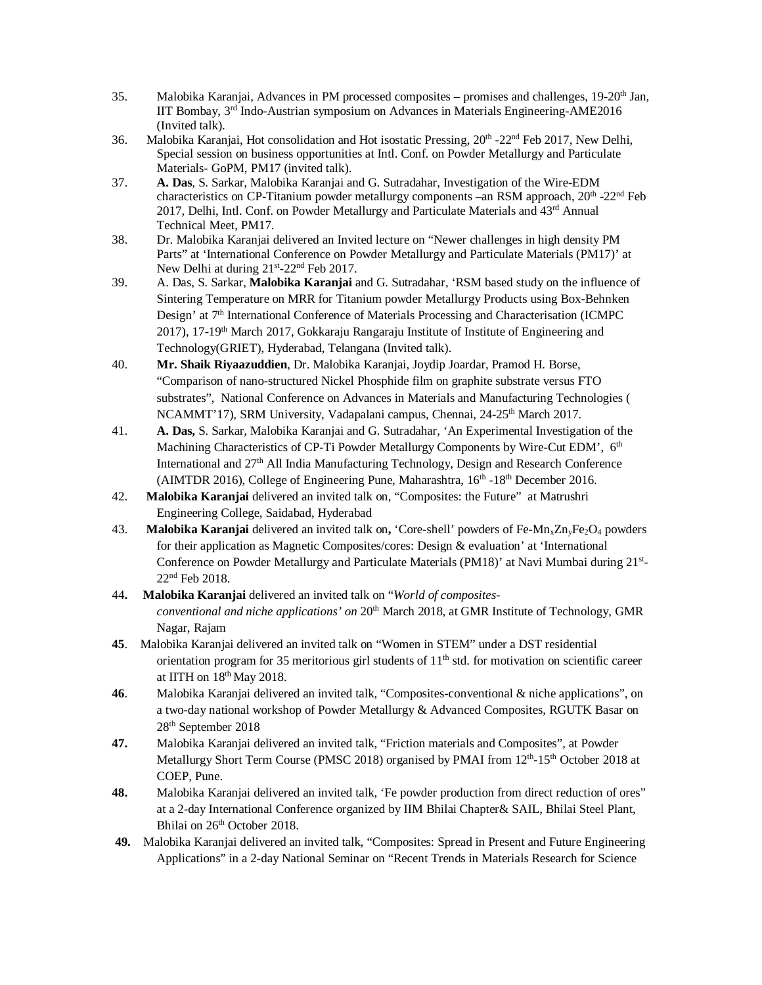- 35. Malobika Karanjai, Advances in PM processed composites promises and challenges, 19-20th Jan, IIT Bombay, 3 rd Indo-Austrian symposium on Advances in Materials Engineering-AME2016 (Invited talk).
- 36. Malobika Karanjai, Hot consolidation and Hot isostatic Pressing, 20<sup>th</sup> -22<sup>nd</sup> Feb 2017, New Delhi, Special session on business opportunities at Intl. Conf. on Powder Metallurgy and Particulate Materials- GoPM, PM17 (invited talk).
- 37. **A. Das**, S. Sarkar, Malobika Karanjai and G. Sutradahar, Investigation of the Wire-EDM characteristics on CP-Titanium powder metallurgy components -an RSM approach, 20<sup>th</sup> -22<sup>nd</sup> Feb 2017, Delhi, Intl. Conf. on Powder Metallurgy and Particulate Materials and 43rd Annual Technical Meet, PM17.
- 38. Dr. Malobika Karanjai delivered an Invited lecture on "Newer challenges in high density PM Parts" at 'International Conference on Powder Metallurgy and Particulate Materials (PM17)' at New Delhi at during 21<sup>st</sup>-22<sup>nd</sup> Feb 2017.
- 39. A. Das, S. Sarkar, **Malobika Karanjai** and G. Sutradahar, 'RSM based study on the influence of Sintering Temperature on MRR for Titanium powder Metallurgy Products using Box-Behnken Design' at 7th International Conference of Materials Processing and Characterisation (ICMPC  $2017$ ), 17-19<sup>th</sup> March 2017, Gokkaraju Rangaraju Institute of Institute of Engineering and Technology(GRIET), Hyderabad, Telangana (Invited talk).
- 40. **Mr. Shaik Riyaazuddien**, Dr. Malobika Karanjai, Joydip Joardar, Pramod H. Borse, "Comparison of nano-structured Nickel Phosphide film on graphite substrate versus FTO substrates", National Conference on Advances in Materials and Manufacturing Technologies ( NCAMMT'17), SRM University, Vadapalani campus, Chennai, 24-25<sup>th</sup> March 2017.
- 41. **A. Das,** S. Sarkar, Malobika Karanjai and G. Sutradahar, 'An Experimental Investigation of the Machining Characteristics of CP-Ti Powder Metallurgy Components by Wire-Cut EDM', 6<sup>th</sup> International and 27th All India Manufacturing Technology, Design and Research Conference (AIMTDR 2016), College of Engineering Pune, Maharashtra, 16<sup>th</sup> -18<sup>th</sup> December 2016.
- 42. **Malobika Karanjai** delivered an invited talk on, "Composites: the Future" at Matrushri Engineering College, Saidabad, Hyderabad
- 43. **Malobika Karanjai** delivered an invited talk on**,** 'Core-shell' powders of Fe-MnxZnyFe2O<sup>4</sup> powders for their application as Magnetic Composites/cores: Design & evaluation' at 'International Conference on Powder Metallurgy and Particulate Materials (PM18)' at Navi Mumbai during 21st-22nd Feb 2018.
- 44**. Malobika Karanjai** delivered an invited talk on "*World of compositesconventional and niche applications' on* 20<sup>th</sup> March 2018, at GMR Institute of Technology, GMR Nagar, Rajam
- **45**. Malobika Karanjai delivered an invited talk on "Women in STEM" under a DST residential orientation program for 35 meritorious girl students of  $11<sup>th</sup>$  std. for motivation on scientific career at IITH on 18th May 2018.
- **46**. Malobika Karanjai delivered an invited talk, "Composites-conventional & niche applications", on a two-day national workshop of Powder Metallurgy & Advanced Composites, RGUTK Basar on 28th September 2018
- **47.** Malobika Karanjai delivered an invited talk, "Friction materials and Composites", at Powder Metallurgy Short Term Course (PMSC 2018) organised by PMAI from 12<sup>th</sup>-15<sup>th</sup> October 2018 at COEP, Pune.
- **48.** Malobika Karanjai delivered an invited talk, 'Fe powder production from direct reduction of ores" at a 2-day International Conference organized by IIM Bhilai Chapter& SAIL, Bhilai Steel Plant, Bhilai on 26<sup>th</sup> October 2018.
- **49.** Malobika Karanjai delivered an invited talk, "Composites: Spread in Present and Future Engineering Applications" in a 2-day National Seminar on "Recent Trends in Materials Research for Science